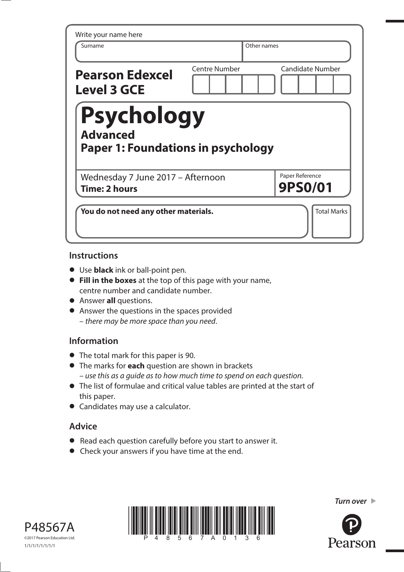| Centre Number<br><b>Psychology</b>        | <b>Candidate Number</b>              |
|-------------------------------------------|--------------------------------------|
|                                           |                                      |
| <b>Paper 1: Foundations in psychology</b> |                                      |
| Wednesday 7 June 2017 - Afternoon         | Paper Reference<br><b>9PS0/01</b>    |
|                                           | You do not need any other materials. |

### **Instructions**

- **•** Use **black** ink or ball-point pen.
- **• Fill in the boxes** at the top of this page with your name, centre number and candidate number.
- **•** Answer **all** questions.
- **•** Answer the questions in the spaces provided – there may be more space than you need.

# **Information**

- **•** The total mark for this paper is 90.
- **•** The marks for **each** question are shown in brackets – use this as a guide as to how much time to spend on each question.
- **•** The list of formulae and critical value tables are printed at the start of this paper.
- **•** Candidates may use a calculator.

# **Advice**

- **•** Read each question carefully before you start to answer it.
- Read each question carefully before you start to<br>• Check your answers if you have time at the end.







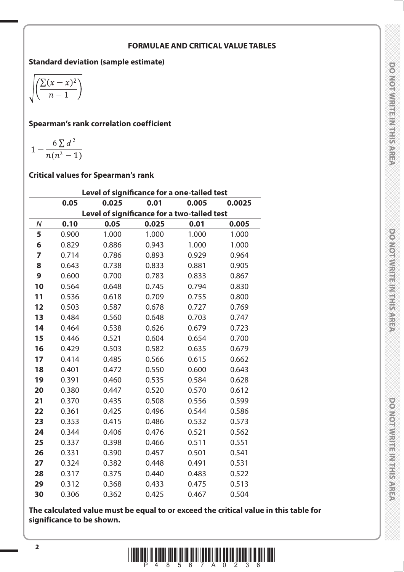### **FORMULAE AND CRITICAL VALUE TABLES**

# **Standard deviation (sample estimate)**

$$
\sqrt{\left(\frac{\sum (x-\bar{x})^2}{n-1}\right)}
$$

**Spearman's rank correlation coefficient**

$$
1 - \frac{6\sum d^2}{n(n^2 - 1)}
$$

### **Critical values for Spearman's rank**

|    |       | Level of significance for a one-tailed test |       |       |        |
|----|-------|---------------------------------------------|-------|-------|--------|
|    | 0.05  | 0.025                                       | 0.01  | 0.005 | 0.0025 |
|    |       | Level of significance for a two-tailed test |       |       |        |
| N  | 0.10  | 0.05                                        | 0.025 | 0.01  | 0.005  |
| 5  | 0.900 | 1.000                                       | 1.000 | 1.000 | 1.000  |
| 6  | 0.829 | 0.886                                       | 0.943 | 1.000 | 1.000  |
| 7  | 0.714 | 0.786                                       | 0.893 | 0.929 | 0.964  |
| 8  | 0.643 | 0.738                                       | 0.833 | 0.881 | 0.905  |
| 9  | 0.600 | 0.700                                       | 0.783 | 0.833 | 0.867  |
| 10 | 0.564 | 0.648                                       | 0.745 | 0.794 | 0.830  |
| 11 | 0.536 | 0.618                                       | 0.709 | 0.755 | 0.800  |
| 12 | 0.503 | 0.587                                       | 0.678 | 0.727 | 0.769  |
| 13 | 0.484 | 0.560                                       | 0.648 | 0.703 | 0.747  |
| 14 | 0.464 | 0.538                                       | 0.626 | 0.679 | 0.723  |
| 15 | 0.446 | 0.521                                       | 0.604 | 0.654 | 0.700  |
| 16 | 0.429 | 0.503                                       | 0.582 | 0.635 | 0.679  |
| 17 | 0.414 | 0.485                                       | 0.566 | 0.615 | 0.662  |
| 18 | 0.401 | 0.472                                       | 0.550 | 0.600 | 0.643  |
| 19 | 0.391 | 0.460                                       | 0.535 | 0.584 | 0.628  |
| 20 | 0.380 | 0.447                                       | 0.520 | 0.570 | 0.612  |
| 21 | 0.370 | 0.435                                       | 0.508 | 0.556 | 0.599  |
| 22 | 0.361 | 0.425                                       | 0.496 | 0.544 | 0.586  |
| 23 | 0.353 | 0.415                                       | 0.486 | 0.532 | 0.573  |
| 24 | 0.344 | 0.406                                       | 0.476 | 0.521 | 0.562  |
| 25 | 0.337 | 0.398                                       | 0.466 | 0.511 | 0.551  |
| 26 | 0.331 | 0.390                                       | 0.457 | 0.501 | 0.541  |
| 27 | 0.324 | 0.382                                       | 0.448 | 0.491 | 0.531  |
| 28 | 0.317 | 0.375                                       | 0.440 | 0.483 | 0.522  |
| 29 | 0.312 | 0.368                                       | 0.433 | 0.475 | 0.513  |
| 30 | 0.306 | 0.362                                       | 0.425 | 0.467 | 0.504  |

**The calculated value must be equal to or exceed the critical value in this table for significance to be shown.**



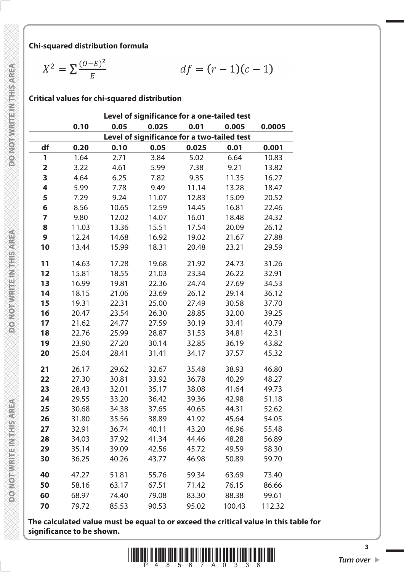**Chi-squared distribution formula**

$$
X^2 = \sum \frac{(o - E)^2}{E} \qquad df = (r - 1)(c - 1)
$$

**Critical values for chi-squared distribution**

|                         | Level of significance for a one-tailed test |       |                                             |       |        |        |  |  |  |  |  |  |
|-------------------------|---------------------------------------------|-------|---------------------------------------------|-------|--------|--------|--|--|--|--|--|--|
|                         | 0.10                                        | 0.05  | 0.025                                       | 0.01  | 0.005  | 0.0005 |  |  |  |  |  |  |
|                         |                                             |       | Level of significance for a two-tailed test |       |        |        |  |  |  |  |  |  |
| df                      | 0.20                                        | 0.10  | 0.05                                        | 0.025 | 0.01   | 0.001  |  |  |  |  |  |  |
| 1                       | 1.64                                        | 2.71  | 3.84                                        | 5.02  | 6.64   | 10.83  |  |  |  |  |  |  |
| $\overline{\mathbf{2}}$ | 3.22                                        | 4.61  | 5.99                                        | 7.38  | 9.21   | 13.82  |  |  |  |  |  |  |
| 3                       | 4.64                                        | 6.25  | 7.82                                        | 9.35  | 11.35  | 16.27  |  |  |  |  |  |  |
| 4                       | 5.99                                        | 7.78  | 9.49                                        | 11.14 | 13.28  | 18.47  |  |  |  |  |  |  |
| 5                       | 7.29                                        | 9.24  | 11.07                                       | 12.83 | 15.09  | 20.52  |  |  |  |  |  |  |
| 6                       | 8.56                                        | 10.65 | 12.59                                       | 14.45 | 16.81  | 22.46  |  |  |  |  |  |  |
| 7                       | 9.80                                        | 12.02 | 14.07                                       | 16.01 | 18.48  | 24.32  |  |  |  |  |  |  |
| 8                       | 11.03                                       | 13.36 | 15.51                                       | 17.54 | 20.09  | 26.12  |  |  |  |  |  |  |
| 9                       | 12.24                                       | 14.68 | 16.92                                       | 19.02 | 21.67  | 27.88  |  |  |  |  |  |  |
| 10                      | 13.44                                       | 15.99 | 18.31                                       | 20.48 | 23.21  | 29.59  |  |  |  |  |  |  |
| 11                      | 14.63                                       | 17.28 | 19.68                                       | 21.92 | 24.73  | 31.26  |  |  |  |  |  |  |
| 12                      | 15.81                                       | 18.55 | 21.03                                       | 23.34 | 26.22  | 32.91  |  |  |  |  |  |  |
| 13                      | 16.99                                       | 19.81 | 22.36                                       | 24.74 | 27.69  | 34.53  |  |  |  |  |  |  |
| 14                      | 18.15                                       | 21.06 | 23.69                                       | 26.12 | 29.14  | 36.12  |  |  |  |  |  |  |
| 15                      | 19.31                                       | 22.31 | 25.00                                       | 27.49 | 30.58  | 37.70  |  |  |  |  |  |  |
| 16                      | 20.47                                       | 23.54 | 26.30                                       | 28.85 | 32.00  | 39.25  |  |  |  |  |  |  |
| 17                      | 21.62                                       | 24.77 | 27.59                                       | 30.19 | 33.41  | 40.79  |  |  |  |  |  |  |
| 18                      | 22.76                                       | 25.99 | 28.87                                       | 31.53 | 34.81  | 42.31  |  |  |  |  |  |  |
| 19                      | 23.90                                       | 27.20 | 30.14                                       | 32.85 | 36.19  | 43.82  |  |  |  |  |  |  |
| 20                      | 25.04                                       | 28.41 | 31.41                                       | 34.17 | 37.57  | 45.32  |  |  |  |  |  |  |
| 21                      | 26.17                                       | 29.62 | 32.67                                       | 35.48 | 38.93  | 46.80  |  |  |  |  |  |  |
| 22                      | 27.30                                       | 30.81 | 33.92                                       | 36.78 | 40.29  | 48.27  |  |  |  |  |  |  |
| 23                      | 28.43                                       | 32.01 | 35.17                                       | 38.08 | 41.64  | 49.73  |  |  |  |  |  |  |
| 24                      | 29.55                                       | 33.20 | 36.42                                       | 39.36 | 42.98  | 51.18  |  |  |  |  |  |  |
| 25                      | 30.68                                       | 34.38 | 37.65                                       | 40.65 | 44.31  | 52.62  |  |  |  |  |  |  |
| 26                      | 31.80                                       | 35.56 | 38.89                                       | 41.92 | 45.64  | 54.05  |  |  |  |  |  |  |
| 27                      | 32.91                                       | 36.74 | 40.11                                       | 43.20 | 46.96  | 55.48  |  |  |  |  |  |  |
| 28                      | 34.03                                       | 37.92 | 41.34                                       | 44.46 | 48.28  | 56.89  |  |  |  |  |  |  |
| 29                      | 35.14                                       | 39.09 | 42.56                                       | 45.72 | 49.59  | 58.30  |  |  |  |  |  |  |
| 30                      | 36.25                                       | 40.26 | 43.77                                       | 46.98 | 50.89  | 59.70  |  |  |  |  |  |  |
| 40                      | 47.27                                       | 51.81 | 55.76                                       | 59.34 | 63.69  | 73.40  |  |  |  |  |  |  |
| 50                      | 58.16                                       | 63.17 | 67.51                                       | 71.42 | 76.15  | 86.66  |  |  |  |  |  |  |
| 60                      | 68.97                                       | 74.40 | 79.08                                       | 83.30 | 88.38  | 99.61  |  |  |  |  |  |  |
| 70                      | 79.72                                       | 85.53 | 90.53                                       | 95.02 | 100.43 | 112.32 |  |  |  |  |  |  |

**The calculated value must be equal to or exceed the critical value in this table for significance to be shown.**

 $\frac{1}{2}$  **Turn over**  $\triangleright$  Turn over  $\triangleright$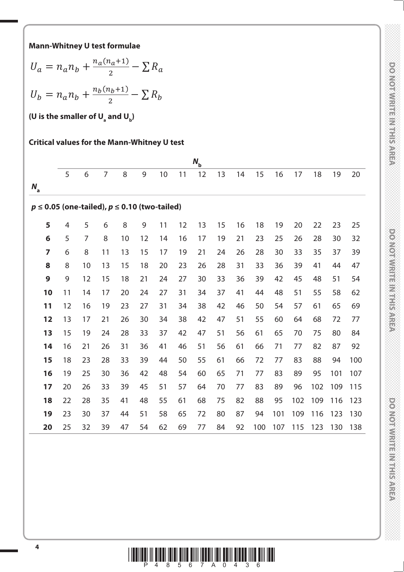**Mann-Whitney U test formulae**

$$
U_a = n_a n_b + \frac{n_a(n_a+1)}{2} - \sum R_a
$$
  

$$
U_b = n_a n_b + \frac{n_b(n_b+1)}{2} - \sum R_b
$$

(U is the smaller of U<sub>a</sub> and U<sub>b</sub>)

# **Critical values for the Mann-Whitney U test**

|                                                      |    |                |                |    |    |    |    | $N_{\rm b}$ |    |    |     |     |     |     |     |     |
|------------------------------------------------------|----|----------------|----------------|----|----|----|----|-------------|----|----|-----|-----|-----|-----|-----|-----|
|                                                      | 5  | 6              | $\overline{7}$ | 8  | 9  | 10 | 11 | 12          | 13 | 14 | 15  | 16  | 17  | 18  | 19  | 20  |
| N<br>a                                               |    |                |                |    |    |    |    |             |    |    |     |     |     |     |     |     |
| $p \le 0.05$ (one-tailed), $p \le 0.10$ (two-tailed) |    |                |                |    |    |    |    |             |    |    |     |     |     |     |     |     |
| 5                                                    | 4  | 5              | 6              | 8  | 9  | 11 | 12 | 13          | 15 | 16 | 18  | 19  | 20  | 22  | 23  | 25  |
| 6                                                    | 5  | $\overline{7}$ | 8              | 10 | 12 | 14 | 16 | 17          | 19 | 21 | 23  | 25  | 26  | 28  | 30  | 32  |
| 7                                                    | 6  | 8              | 11             | 13 | 15 | 17 | 19 | 21          | 24 | 26 | 28  | 30  | 33  | 35  | 37  | 39  |
| 8                                                    | 8  | 10             | 13             | 15 | 18 | 20 | 23 | 26          | 28 | 31 | 33  | 36  | 39  | 41  | 44  | 47  |
| 9                                                    | 9  | 12             | 15             | 18 | 21 | 24 | 27 | 30          | 33 | 36 | 39  | 42  | 45  | 48  | 51  | 54  |
| 10                                                   | 11 | 14             | 17             | 20 | 24 | 27 | 31 | 34          | 37 | 41 | 44  | 48  | 51  | 55  | 58  | 62  |
| 11                                                   | 12 | 16             | 19             | 23 | 27 | 31 | 34 | 38          | 42 | 46 | 50  | 54  | 57  | 61  | 65  | 69  |
| 12                                                   | 13 | 17             | 21             | 26 | 30 | 34 | 38 | 42          | 47 | 51 | 55  | 60  | 64  | 68  | 72  | 77  |
| 13                                                   | 15 | 19             | 24             | 28 | 33 | 37 | 42 | 47          | 51 | 56 | 61  | 65  | 70  | 75  | 80  | 84  |
| 14                                                   | 16 | 21             | 26             | 31 | 36 | 41 | 46 | 51          | 56 | 61 | 66  | 71  | 77  | 82  | 87  | 92  |
| 15                                                   | 18 | 23             | 28             | 33 | 39 | 44 | 50 | 55          | 61 | 66 | 72  | 77  | 83  | 88  | 94  | 100 |
| 16                                                   | 19 | 25             | 30             | 36 | 42 | 48 | 54 | 60          | 65 | 71 | 77  | 83  | 89  | 95  | 101 | 107 |
| 17                                                   | 20 | 26             | 33             | 39 | 45 | 51 | 57 | 64          | 70 | 77 | 83  | 89  | 96  | 102 | 109 | 115 |
| 18                                                   | 22 | 28             | 35             | 41 | 48 | 55 | 61 | 68          | 75 | 82 | 88  | 95  | 102 | 109 | 116 | 123 |
| 19                                                   | 23 | 30             | 37             | 44 | 51 | 58 | 65 | 72          | 80 | 87 | 94  | 101 | 109 | 116 | 123 | 130 |
| 20                                                   | 25 | 32             | 39             | 47 | 54 | 62 | 69 | 77          | 84 | 92 | 100 | 107 | 115 | 123 | 130 | 138 |

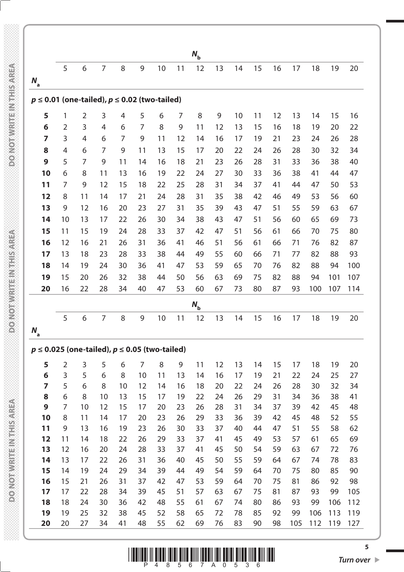|                                                         |                |                |                |          |          |          |          | $N_{\rm b}$ |          |          |          |          |          |          |          |           |
|---------------------------------------------------------|----------------|----------------|----------------|----------|----------|----------|----------|-------------|----------|----------|----------|----------|----------|----------|----------|-----------|
|                                                         | 5              | 6              | $\overline{7}$ | 8        | 9        | 10       | 11       | 12          | 13       | 14       | 15       | 16       | 17       | 18       | 19       | 20        |
| $N_{\rm a}$                                             |                |                |                |          |          |          |          |             |          |          |          |          |          |          |          |           |
|                                                         |                |                |                |          |          |          |          |             |          |          |          |          |          |          |          |           |
| $p \le 0.01$ (one-tailed), $p \le 0.02$ (two-tailed)    |                |                |                |          |          |          |          |             |          |          |          |          |          |          |          |           |
| 5                                                       | 1              | $\overline{2}$ | 3              | 4        | 5        | 6        | 7        | 8           | 9        | 10       | 11       | 12       | 13       | 14       | 15       | 16        |
| 6                                                       | $\overline{2}$ | 3              | $\overline{4}$ | 6        | 7        | 8        | 9        | 11          | 12       | 13       | 15       | 16       | 18       | 19       | 20       | 22        |
| 7                                                       | 3              | $\overline{4}$ | 6              | 7        | 9        | 11       | 12       | 14          | 16       | 17       | 19       | 21       | 23       | 24       | 26       | 28        |
| 8                                                       | 4              | 6              | $\overline{7}$ | 9        | 11       | 13       | 15       | 17          | 20       | 22       | 24       | 26       | 28       | 30       | 32       | 34        |
| 9                                                       | 5              | $\overline{7}$ | 9              | 11       | 14       | 16       | 18       | 21          | 23       | 26       | 28       | 31       | 33       | 36       | 38       | 40        |
| 10                                                      | 6              | 8              | 11             | 13       | 16       | 19       | 22       | 24          | 27       | 30       | 33       | 36       | 38       | 41       | 44       | 47        |
| 11                                                      | 7              | 9              | 12             | 15       | 18       | 22       | 25       | 28          | 31       | 34       | 37       | 41       | 44       | 47       | 50       | 53        |
| 12                                                      | 8              | 11             | 14             | 17       | 21       | 24       | 28       | 31          | 35       | 38       | 42       | 46       | 49       | 53       | 56       | 60        |
| 13                                                      | 9              | 12             | 16             | 20       | 23       | 27       | 31       | 35          | 39       | 43       | 47       | 51       | 55       | 59       | 63       | 67        |
| 14                                                      | 10             | 13             | 17             | 22       | 26       | 30       | 34       | 38          | 43       | 47       | 51       | 56       | 60       | 65       | 69       | 73        |
| 15                                                      | 11             | 15             | 19             | 24       | 28       | 33       | 37       | 42          | 47       | 51       | 56       | 61       | 66       | 70       | 75       | 80        |
| 16                                                      | 12             | 16             | 21             | 26       | 31       | 36       | 41       | 46          | 51       | 56       | 61       | 66       | 71       | 76       | 82       | 87        |
| 17                                                      | 13             | 18             | 23             | 28       | 33       | 38       | 44       | 49          | 55       | 60       | 66       | 71       | 77       | 82       | 88       | 93        |
| 18                                                      | 14             | 19             | 24             | 30       | 36       | 41       | 47       | 53          | 59       | 65       | 70       | 76       | 82       | 88       | 94       | 100       |
| 19                                                      | 15             | 20             | 26             | 32       | 38       | 44       | 50       | 56          | 63       | 69       | 75       | 82       | 88       | 94       | 101      | 107       |
| 20                                                      | 16             | 22             | 28             | 34       | 40       | 47       | 53       | 60          | 67       | 73       | 80       | 87       | 93       | 100      | 107      | 114       |
|                                                         |                |                |                |          |          |          |          | $N_{\rm b}$ |          |          |          |          |          |          |          |           |
|                                                         | 5              | 6              | $\overline{7}$ | 8        | 9        | 10       | 11       | 12          | 13       | 14       | 15       | 16       | 17       | 18       | 19       | 20        |
| $N_{\rm a}$                                             |                |                |                |          |          |          |          |             |          |          |          |          |          |          |          |           |
| $p \leq 0.025$ (one-tailed), $p \leq 0.05$ (two-tailed) |                |                |                |          |          |          |          |             |          |          |          |          |          |          |          |           |
| 5                                                       | $\overline{2}$ | 3              | 5              | 6        | 7        | 8        | 9        | 11          | 12       | 13       | 14       | 15       | 17       | 18       | 19       | 20        |
| 6                                                       | 3              | 5              | 6              | 8        | 10       | 11       | 13       | 14          | 16       | 17       | 19       | 21       | 22       | 24       | 25       | 27        |
| 7                                                       | 5              | 6              | 8              | 10       | 12       | 14       | 16       | 18          | 20       | 22       | 24       | 26       | 28       | 30       | 32       | 34        |
| 8                                                       | 6              | 8              | 10             | 13       | 15       | 17       | 19       | 22          | 24       | 26       | 29       | 31       | 34       | 36       | 38       | 41        |
| 9                                                       | 7              | 10             | 12             | 15       | 17       | 20       | 23       | 26          | 28       | 31       | 34       | 37       | 39       | 42       | 45       | 48        |
| 10                                                      | 8              | 11             | 14             | 17       | 20       | 23       | 26       | 29          | 33       | 36       | 39       | 42       | 45       | 48       | 52       | 55        |
| 11                                                      | 9              | 13             | 16             | 19       | 23       | 26       | 30       | 33          | 37       | 40       | 44       | 47       | 51       | 55       | 58       | 62        |
| 12                                                      | 11             | 14             | 18             | 22       | 26       | 29       | 33       | 37          | 41       | 45       | 49       | 53       | 57       | 61       | 65       | 69        |
| 13                                                      | 12             | 16             | 20             | 24       | 28       | 33       | 37       | 41          | 45       | 50       | 54       | 59       | 63       | 67       | 72       | 76        |
| 14                                                      | 13             | 17             | 22             | 26       | 31       | 36       | 40       | 45          | 50       | 55       | 59       | 64       | 67       | 74       | 78       | 83        |
| 15<br>16                                                | 14             | 19             | 24<br>26       | 29<br>31 | 34<br>37 | 39<br>42 | 44<br>47 | 49          | 54<br>59 | 59<br>64 | 64<br>70 | 70<br>75 | 75<br>81 | 80<br>86 | 85<br>92 | 90        |
| 17                                                      | 15<br>17       | 21<br>22       | 28             | 34       | 39       | 45       | 51       | 53<br>57    | 63       | 67       | 75       | 81       | 87       | 93       | 99       | 98<br>105 |
| 18                                                      | 18             | 24             | 30             | 36       | 42       | 48       | 55       | 61          | 67       | 74       | 80       | 86       | 93       | 99       | 106      | 112       |
| 19                                                      | 19             | 25             | 32             | 38       | 45       | 52       | 58       | 65          | 72       | 78       | 85       | 92       | 99       | 106      | 113      | 119       |
| 20                                                      | 20             | 27             | 34             | 41       | 48       | 55       | 62       | 69          | 76       | 83       | 90       | 98       | 105      | 112      | 119      | 127       |



**DO NOT WRITEINITHS AREA** 

**DO NOT WRITEIN THIS AREA**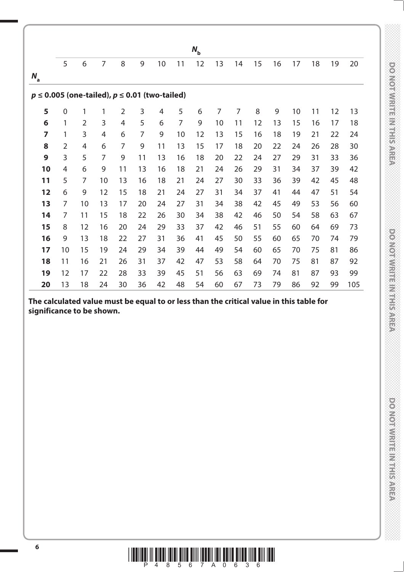|                                                       |                |                |                |                |                |    |                | $N_{\rm b}$ |                |    |    |    |    |    |    |     |
|-------------------------------------------------------|----------------|----------------|----------------|----------------|----------------|----|----------------|-------------|----------------|----|----|----|----|----|----|-----|
|                                                       | 5              | 6              | $\overline{7}$ | 8              | 9              | 10 | 11             | 12          | 13             | 14 | 15 | 16 | 17 | 18 | 19 | 20  |
| $N_{\rm a}$                                           |                |                |                |                |                |    |                |             |                |    |    |    |    |    |    |     |
| $p \le 0.005$ (one-tailed), $p \le 0.01$ (two-tailed) |                |                |                |                |                |    |                |             |                |    |    |    |    |    |    |     |
| 5                                                     | $\mathbf 0$    | 1              | 1              | $\overline{2}$ | 3              | 4  | 5              | 6           | $\overline{7}$ | 7  | 8  | 9  | 10 | 11 | 12 | 13  |
| 6                                                     | 1              | $\overline{2}$ | 3              | 4              | 5              | 6  | $\overline{7}$ | 9           | 10             | 11 | 12 | 13 | 15 | 16 | 17 | 18  |
| 7                                                     | 1              | 3              | $\overline{4}$ | 6              | $\overline{7}$ | 9  | 10             | 12          | 13             | 15 | 16 | 18 | 19 | 21 | 22 | 24  |
| 8                                                     | $\overline{2}$ | 4              | 6              | $\overline{7}$ | 9              | 11 | 13             | 15          | 17             | 18 | 20 | 22 | 24 | 26 | 28 | 30  |
| 9                                                     | 3              | 5              | $\overline{7}$ | 9              | 11             | 13 | 16             | 18          | 20             | 22 | 24 | 27 | 29 | 31 | 33 | 36  |
| 10                                                    | 4              | 6              | 9              | 11             | 13             | 16 | 18             | 21          | 24             | 26 | 29 | 31 | 34 | 37 | 39 | 42  |
| 11                                                    | 5              | 7              | 10             | 13             | 16             | 18 | 21             | 24          | 27             | 30 | 33 | 36 | 39 | 42 | 45 | 48  |
| 12                                                    | 6              | 9              | 12             | 15             | 18             | 21 | 24             | 27          | 31             | 34 | 37 | 41 | 44 | 47 | 51 | 54  |
| 13                                                    | 7              | 10             | 13             | 17             | 20             | 24 | 27             | 31          | 34             | 38 | 42 | 45 | 49 | 53 | 56 | 60  |
| 14                                                    | 7              | 11             | 15             | 18             | 22             | 26 | 30             | 34          | 38             | 42 | 46 | 50 | 54 | 58 | 63 | 67  |
| 15                                                    | 8              | 12             | 16             | 20             | 24             | 29 | 33             | 37          | 42             | 46 | 51 | 55 | 60 | 64 | 69 | 73  |
| 16                                                    | 9              | 13             | 18             | 22             | 27             | 31 | 36             | 41          | 45             | 50 | 55 | 60 | 65 | 70 | 74 | 79  |
| 17                                                    | 10             | 15             | 19             | 24             | 29             | 34 | 39             | 44          | 49             | 54 | 60 | 65 | 70 | 75 | 81 | 86  |
| 18                                                    | 11             | 16             | 21             | 26             | 31             | 37 | 42             | 47          | 53             | 58 | 64 | 70 | 75 | 81 | 87 | 92  |
| 19                                                    | 12             | 17             | 22             | 28             | 33             | 39 | 45             | 51          | 56             | 63 | 69 | 74 | 81 | 87 | 93 | 99  |
| 20                                                    | 13             | 18             | 24             | 30             | 36             | 42 | 48             | 54          | 60             | 67 | 73 | 79 | 86 | 92 | 99 | 105 |

**DO NOTWRITE INTHISAREA** 

**DOOMAGEMALISTICS** 

**DO NOTWRITISM HIS AREA** 

**The calculated value must be equal to or less than the critical value in this table for significance to be shown.**

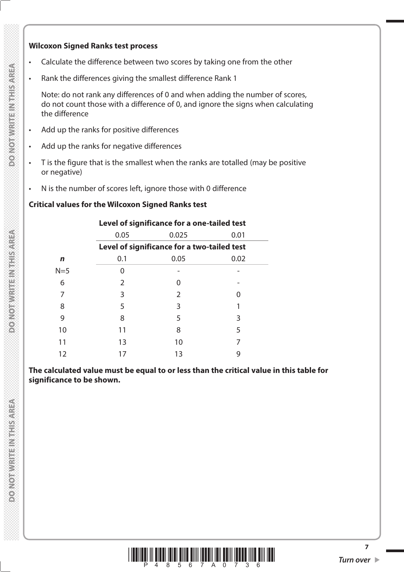### **Wilcoxon Signed Ranks test process**

- Calculate the difference between two scores by taking one from the other
- Rank the differences giving the smallest difference Rank 1

 Note: do not rank any differences of 0 and when adding the number of scores, do not count those with a difference of 0, and ignore the signs when calculating the difference

- Add up the ranks for positive differences
- Add up the ranks for negative differences
- T is the figure that is the smallest when the ranks are totalled (may be positive or negative)

**Level of significance for a one-tailed test**

• N is the number of scores left, ignore those with 0 difference

### **Critical values for the Wilcoxon Signed Ranks test**

|       |      | Level of significance for a one-taned test  |      |
|-------|------|---------------------------------------------|------|
|       | 0.05 | 0.025                                       | 0.01 |
|       |      | Level of significance for a two-tailed test |      |
| n     | 0.1  | 0.05                                        | 0.02 |
| $N=5$ | ი    |                                             |      |
| 6     | 2    |                                             |      |
| 7     | 3    | 2                                           | 0    |
| 8     | 5    | 3                                           |      |
| 9     | 8    | 5                                           | 3    |
| 10    | 11   | 8                                           | 5    |
| 11    | 13   | 10                                          |      |
| 12    | 17   | 13                                          | 9    |

**The calculated value must be equal to or less than the critical value in this table for significance to be shown.** 

**DONOTHER HANDLES** 

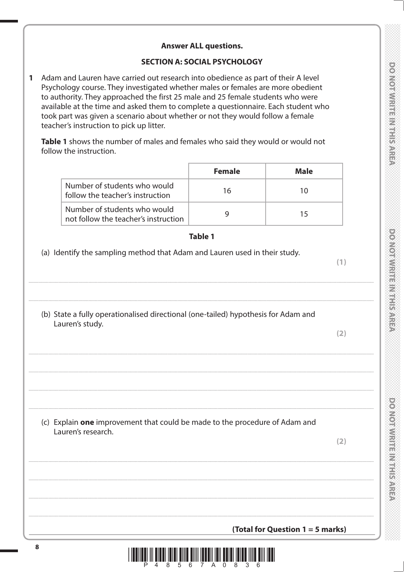# **DOO YORK WAS IMPORTED AND ALL PROPERTY**

# **Answer ALL questions.**

### **SECTION A: SOCIAL PSYCHOLOGY**

Adam and Lauren have carried out research into obedience as part of their A level  $\mathbf{1}$ Psychology course. They investigated whether males or females are more obedient to authority. They approached the first 25 male and 25 female students who were available at the time and asked them to complete a questionnaire. Each student who took part was given a scenario about whether or not they would follow a female teacher's instruction to pick up litter.

Table 1 shows the number of males and females who said they would or would not follow the instruction.

|                                                                                                       | <b>Female</b>  | <b>Male</b>                      |
|-------------------------------------------------------------------------------------------------------|----------------|----------------------------------|
| Number of students who would<br>follow the teacher's instruction                                      | 16             | 10                               |
| Number of students who would<br>not follow the teacher's instruction                                  | 9              | 15                               |
|                                                                                                       | <b>Table 1</b> |                                  |
| (a) Identify the sampling method that Adam and Lauren used in their study.                            |                | (1)                              |
| (b) State a fully operationalised directional (one-tailed) hypothesis for Adam and<br>Lauren's study. |                | (2)                              |
|                                                                                                       |                |                                  |
| (c) Explain one improvement that could be made to the procedure of Adam and<br>Lauren's research.     |                | (2)                              |
|                                                                                                       |                |                                  |
|                                                                                                       |                | (Total for Question 1 = 5 marks) |

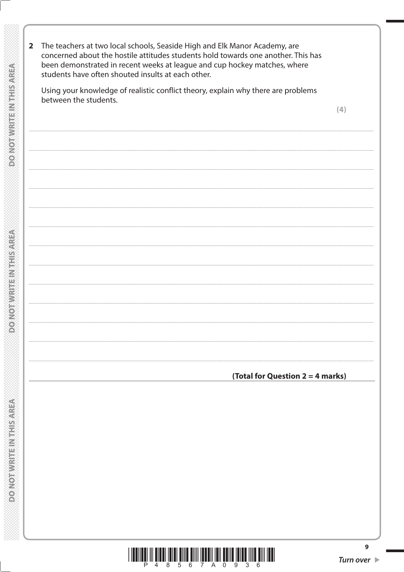|                         |                                                                                                                                                                 | 9   |
|-------------------------|-----------------------------------------------------------------------------------------------------------------------------------------------------------------|-----|
|                         |                                                                                                                                                                 |     |
|                         |                                                                                                                                                                 |     |
|                         |                                                                                                                                                                 |     |
|                         |                                                                                                                                                                 |     |
|                         |                                                                                                                                                                 |     |
|                         |                                                                                                                                                                 |     |
|                         |                                                                                                                                                                 |     |
|                         |                                                                                                                                                                 |     |
|                         |                                                                                                                                                                 |     |
|                         |                                                                                                                                                                 |     |
|                         |                                                                                                                                                                 |     |
|                         |                                                                                                                                                                 |     |
|                         |                                                                                                                                                                 |     |
|                         |                                                                                                                                                                 |     |
|                         |                                                                                                                                                                 |     |
|                         | (Total for Question 2 = 4 marks)                                                                                                                                |     |
|                         |                                                                                                                                                                 |     |
|                         |                                                                                                                                                                 |     |
|                         |                                                                                                                                                                 |     |
|                         |                                                                                                                                                                 |     |
|                         |                                                                                                                                                                 |     |
|                         |                                                                                                                                                                 |     |
|                         |                                                                                                                                                                 |     |
|                         |                                                                                                                                                                 |     |
|                         |                                                                                                                                                                 |     |
|                         |                                                                                                                                                                 |     |
|                         |                                                                                                                                                                 |     |
|                         |                                                                                                                                                                 |     |
|                         |                                                                                                                                                                 |     |
|                         |                                                                                                                                                                 |     |
|                         |                                                                                                                                                                 |     |
|                         |                                                                                                                                                                 |     |
|                         |                                                                                                                                                                 |     |
|                         |                                                                                                                                                                 |     |
|                         |                                                                                                                                                                 |     |
|                         |                                                                                                                                                                 |     |
|                         |                                                                                                                                                                 |     |
|                         |                                                                                                                                                                 | (4) |
|                         | between the students.                                                                                                                                           |     |
|                         | Using your knowledge of realistic conflict theory, explain why there are problems                                                                               |     |
|                         | students have often shouted insults at each other.                                                                                                              |     |
|                         | been demonstrated in recent weeks at league and cup hockey matches, where                                                                                       |     |
| $\overline{\mathbf{2}}$ | The teachers at two local schools, Seaside High and Elk Manor Academy, are<br>concerned about the hostile attitudes students hold towards one another. This has |     |
|                         |                                                                                                                                                                 |     |

**DO NOT WRITEINITHS AREA** 

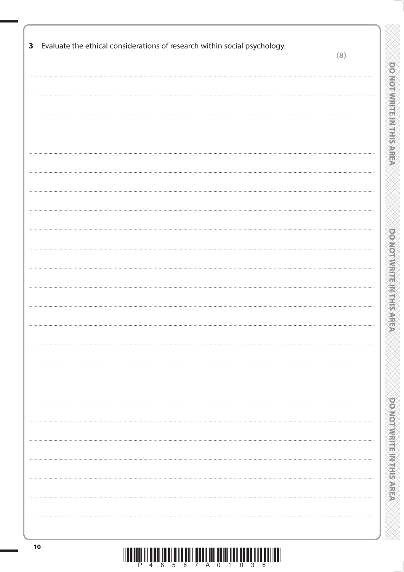| 3 Evaluate the ethical considerations of research within social psychology. | (8) |                                  |
|-----------------------------------------------------------------------------|-----|----------------------------------|
|                                                                             |     |                                  |
|                                                                             |     | <b>DOMORATION STREET SARRING</b> |
|                                                                             |     |                                  |
|                                                                             |     |                                  |
|                                                                             |     |                                  |
|                                                                             |     |                                  |
|                                                                             |     | <b>DONOMIC REVIEW AND LESSEE</b> |
|                                                                             |     |                                  |
|                                                                             |     |                                  |
|                                                                             |     |                                  |
|                                                                             | .   |                                  |
|                                                                             | .   | <b>DONOTWRITE INSTRUSINED</b>    |
|                                                                             |     |                                  |
| 10                                                                          |     |                                  |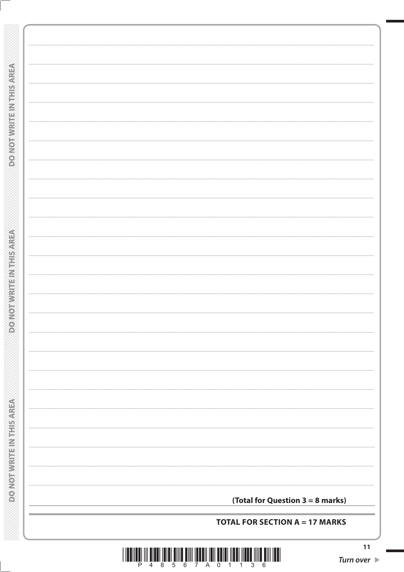| $\ddotsc$ |                                       |
|-----------|---------------------------------------|
|           |                                       |
|           |                                       |
|           |                                       |
|           | (Total for Question 3 = 8 marks)      |
|           | <b>TOTAL FOR SECTION A = 17 MARKS</b> |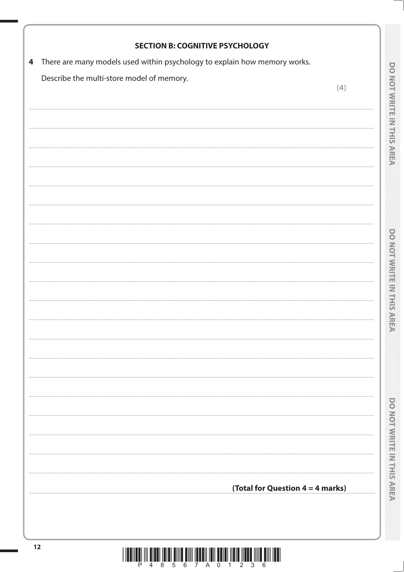| <b>SECTION B: COGNITIVE PSYCHOLOGY</b>                                         |                            |
|--------------------------------------------------------------------------------|----------------------------|
| There are many models used within psychology to explain how memory works.<br>4 | $\overline{8}$             |
| Describe the multi-store model of memory.                                      |                            |
|                                                                                | <b>Monomedia</b><br>(4)    |
|                                                                                |                            |
|                                                                                |                            |
|                                                                                |                            |
|                                                                                |                            |
|                                                                                |                            |
|                                                                                |                            |
|                                                                                |                            |
|                                                                                |                            |
|                                                                                |                            |
|                                                                                |                            |
|                                                                                |                            |
|                                                                                |                            |
|                                                                                |                            |
|                                                                                | <b>PONONNIAN ENGINEERS</b> |
|                                                                                |                            |
|                                                                                |                            |
|                                                                                |                            |
|                                                                                |                            |
|                                                                                |                            |
|                                                                                |                            |
|                                                                                |                            |
|                                                                                |                            |
|                                                                                |                            |
|                                                                                |                            |
|                                                                                |                            |
|                                                                                |                            |
|                                                                                | <b>DONOTHING ENGINEERS</b> |
| (Total for Question 4 = 4 marks)                                               |                            |
|                                                                                |                            |
|                                                                                |                            |
|                                                                                |                            |

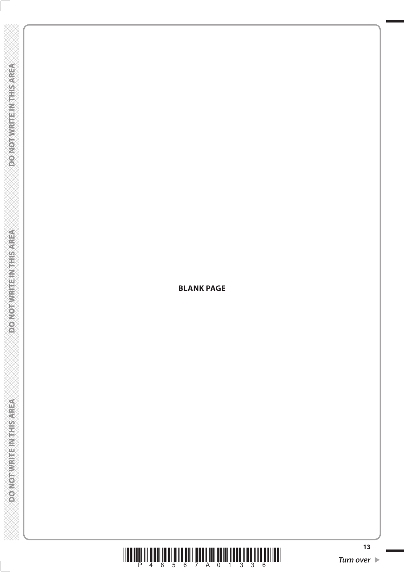

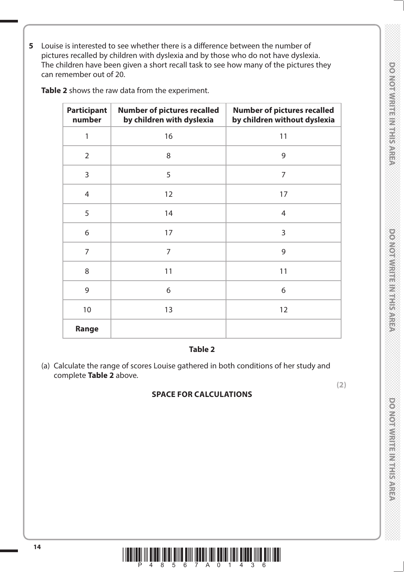**5** Louise is interested to see whether there is a difference between the number of pictures recalled by children with dyslexia and by those who do not have dyslexia. The children have been given a short recall task to see how many of the pictures they can remember out of 20.

| <b>Participant</b><br>number | <b>Number of pictures recalled</b><br>by children with dyslexia | <b>Number of pictures recalled</b><br>by children without dyslexia |  |
|------------------------------|-----------------------------------------------------------------|--------------------------------------------------------------------|--|
| $\mathbf{1}$                 | 16                                                              | 11                                                                 |  |
| $\overline{2}$               | 8<br>9                                                          |                                                                    |  |
| 3                            | 5                                                               | $\overline{7}$                                                     |  |
| $\overline{4}$               | 12                                                              | 17                                                                 |  |
| 5                            | 14                                                              | $\overline{4}$                                                     |  |
| 6                            | 17                                                              | 3                                                                  |  |
| 7                            | $\overline{7}$                                                  | 9                                                                  |  |
| 8                            | 11                                                              | 11                                                                 |  |
| 9                            | 6                                                               | 6                                                                  |  |
| 10                           | 13                                                              | 12                                                                 |  |
| Range                        |                                                                 |                                                                    |  |

**Table 2** shows the raw data from the experiment.

### **Table 2**

 (a) Calculate the range of scores Louise gathered in both conditions of her study and complete **Table 2** above.

### **SPACE FOR CALCULATIONS**



**(2)** 

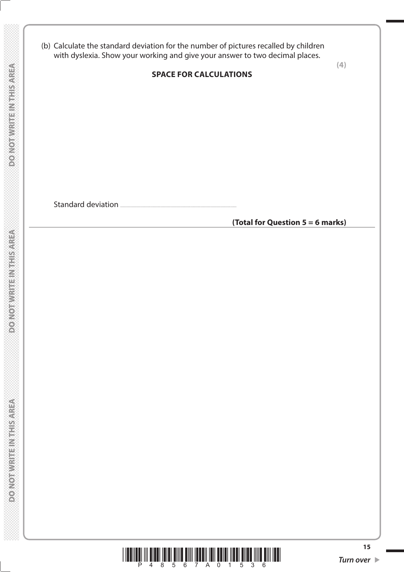| (b) Calculate the standard deviation for the number of pictures recalled by children<br>with dyslexia. Show your working and give your answer to two decimal places. |     |
|----------------------------------------------------------------------------------------------------------------------------------------------------------------------|-----|
| <b>SPACE FOR CALCULATIONS</b>                                                                                                                                        | (4) |
|                                                                                                                                                                      |     |
|                                                                                                                                                                      |     |
|                                                                                                                                                                      |     |
|                                                                                                                                                                      |     |
| Standard deviation                                                                                                                                                   |     |

**(Total for Question 5 = 6 marks)**



**DO NOTWRITEINTHS AREA**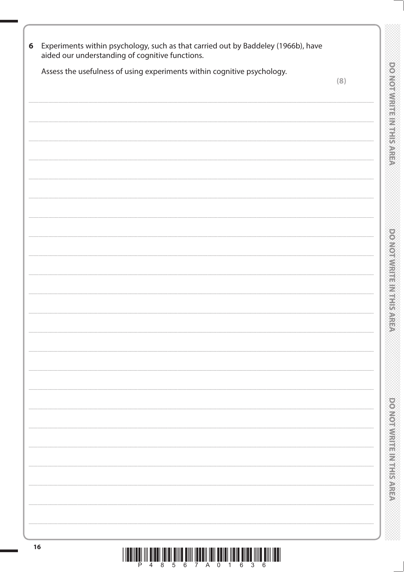| Experiments within psychology, such as that carried out by Baddeley (1966b), have<br>aided our understanding of cognitive functions. |     |
|--------------------------------------------------------------------------------------------------------------------------------------|-----|
| Assess the usefulness of using experiments within cognitive psychology.                                                              |     |
|                                                                                                                                      | (8) |
|                                                                                                                                      |     |
|                                                                                                                                      |     |
|                                                                                                                                      |     |
|                                                                                                                                      |     |
|                                                                                                                                      |     |
|                                                                                                                                      |     |
|                                                                                                                                      |     |
|                                                                                                                                      |     |
|                                                                                                                                      |     |
|                                                                                                                                      |     |
|                                                                                                                                      |     |
|                                                                                                                                      |     |
|                                                                                                                                      |     |
|                                                                                                                                      |     |
|                                                                                                                                      |     |
|                                                                                                                                      |     |
|                                                                                                                                      |     |
|                                                                                                                                      |     |
|                                                                                                                                      |     |
|                                                                                                                                      |     |
|                                                                                                                                      |     |
|                                                                                                                                      |     |
|                                                                                                                                      |     |
|                                                                                                                                      | .   |
|                                                                                                                                      |     |
|                                                                                                                                      |     |
|                                                                                                                                      | .   |
|                                                                                                                                      |     |
|                                                                                                                                      | .   |
|                                                                                                                                      |     |
|                                                                                                                                      |     |
|                                                                                                                                      |     |
|                                                                                                                                      |     |
|                                                                                                                                      |     |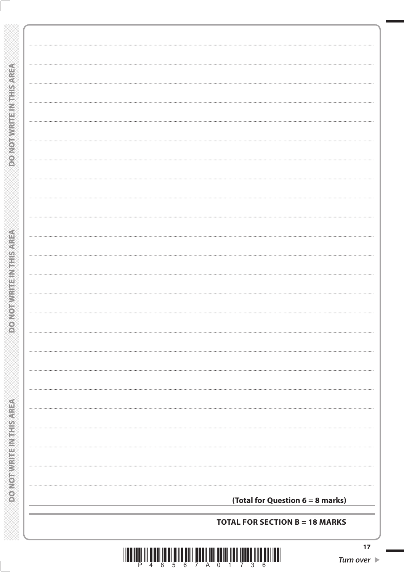| <b>DOMORAMENTER MARQUOO</b>    |                                       |
|--------------------------------|---------------------------------------|
|                                |                                       |
|                                |                                       |
|                                |                                       |
|                                |                                       |
|                                |                                       |
|                                |                                       |
|                                |                                       |
|                                |                                       |
|                                |                                       |
|                                |                                       |
|                                |                                       |
|                                |                                       |
|                                |                                       |
|                                |                                       |
|                                |                                       |
|                                |                                       |
|                                |                                       |
|                                |                                       |
|                                |                                       |
|                                |                                       |
|                                |                                       |
|                                |                                       |
|                                |                                       |
| <b>DONORA BRITISH MARSHARE</b> |                                       |
|                                |                                       |
|                                |                                       |
|                                |                                       |
|                                |                                       |
|                                |                                       |
|                                |                                       |
|                                |                                       |
|                                |                                       |
|                                |                                       |
|                                |                                       |
|                                |                                       |
|                                |                                       |
|                                |                                       |
|                                |                                       |
|                                |                                       |
|                                |                                       |
|                                |                                       |
|                                |                                       |
|                                |                                       |
|                                |                                       |
|                                |                                       |
|                                |                                       |
|                                |                                       |
| <b>DOINORWARE METAL</b>        |                                       |
|                                | (Total for Question 6 = 8 marks)      |
|                                |                                       |
|                                |                                       |
|                                | <b>TOTAL FOR SECTION B = 18 MARKS</b> |
|                                |                                       |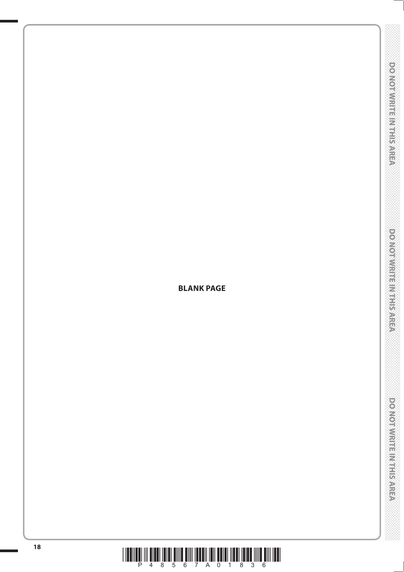

**BLANK PAGE**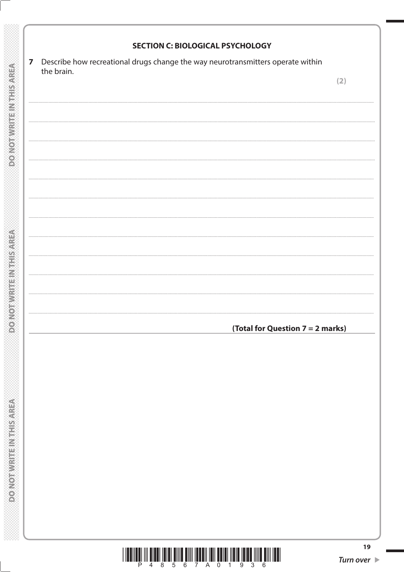|                               | <b>SECTION C: BIOLOGICAL PSYCHOLOGY</b>                                                                                  |     |  |  |  |
|-------------------------------|--------------------------------------------------------------------------------------------------------------------------|-----|--|--|--|
|                               | Describe how recreational drugs change the way neurotransmitters operate within<br>$\overline{\mathbf{z}}$<br>the brain. | (2) |  |  |  |
| <b>DO NOTWRITE INTERSAREA</b> |                                                                                                                          |     |  |  |  |
|                               |                                                                                                                          |     |  |  |  |
|                               |                                                                                                                          |     |  |  |  |
|                               |                                                                                                                          |     |  |  |  |
| <b>DOMORATE IN STREET</b>     |                                                                                                                          |     |  |  |  |
|                               | (Total for Question 7 = 2 marks)                                                                                         |     |  |  |  |
|                               |                                                                                                                          |     |  |  |  |
| <b>ABRASHIMALBUMALOWOO</b>    |                                                                                                                          |     |  |  |  |
|                               |                                                                                                                          |     |  |  |  |

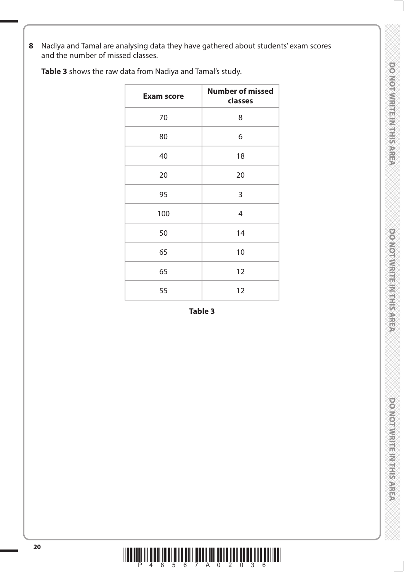**8** Nadiya and Tamal are analysing data they have gathered about students' exam scores and the number of missed classes.

|                                                                  | <b>Exam score</b> | <b>Number of missed</b> |  |
|------------------------------------------------------------------|-------------------|-------------------------|--|
| <b>Table 3</b> shows the raw data from Nadiya and Tamal's study. |                   |                         |  |

| <b>Exam score</b> | Number of missed<br>classes |  |  |
|-------------------|-----------------------------|--|--|
| 70                | 8                           |  |  |
| 80                | 6                           |  |  |
| 40                | 18                          |  |  |
| 20                | 20                          |  |  |
| 95                | 3                           |  |  |
| 100               | 4                           |  |  |
| 50                | 14                          |  |  |
| 65                | 10                          |  |  |
| 65                | 12                          |  |  |
| 55                | 12                          |  |  |

**Table 3**

**DO NOTWRITE INTHISAREA** 

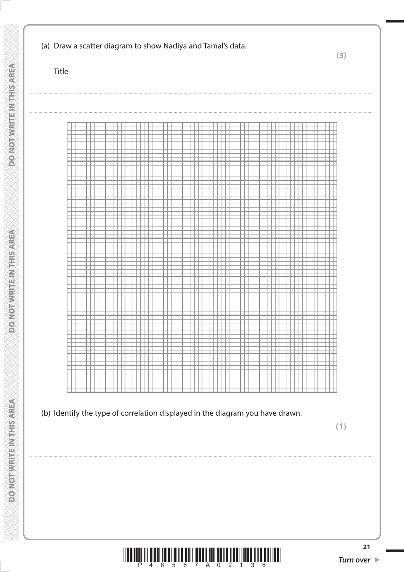**DO NOT WRITE IN THIS AREA** 

**DONOT WRIGHT NITHS AND** 

**DONOT WRITEIN THIS AREA** 

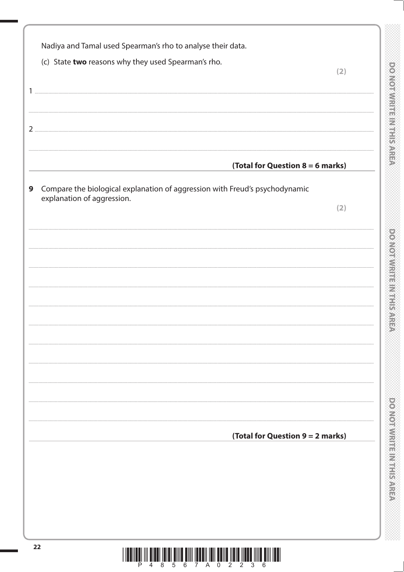| <b>CONTROL</b>                 |
|--------------------------------|
|                                |
|                                |
|                                |
|                                |
|                                |
|                                |
|                                |
|                                |
|                                |
|                                |
|                                |
|                                |
|                                |
|                                |
|                                |
|                                |
|                                |
|                                |
| <b><i><b>RANDERING</b></i></b> |
|                                |
|                                |
|                                |
|                                |
|                                |
|                                |
|                                |
|                                |
|                                |
|                                |
|                                |
|                                |
|                                |
|                                |
|                                |
|                                |
|                                |
|                                |
| くちょう しょう                       |
|                                |
|                                |
|                                |
|                                |
|                                |
|                                |
|                                |
|                                |
|                                |
|                                |
|                                |
|                                |
|                                |
|                                |
|                                |
|                                |
|                                |
|                                |
|                                |
|                                |
|                                |
|                                |
|                                |
|                                |
|                                |
|                                |
|                                |
|                                |
|                                |
|                                |
|                                |
|                                |
|                                |
|                                |
|                                |
|                                |

 $(2)$ 

(Total for Question  $8 = 6$  marks)

**DONOTWINES MARKSAREA** 



Nadiya and Tamal used Spearman's rho to analyse their data.

(c) State two reasons why they used Spearman's rho.

 $\boldsymbol{9}$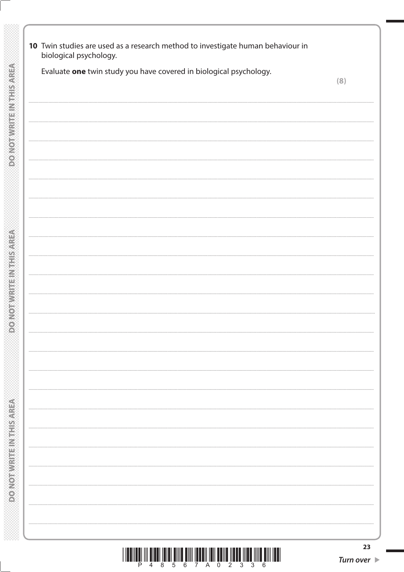| biological psychology.                                             |     |
|--------------------------------------------------------------------|-----|
| Evaluate one twin study you have covered in biological psychology. | (8) |
|                                                                    |     |
|                                                                    |     |
|                                                                    |     |
|                                                                    |     |
|                                                                    |     |
|                                                                    |     |
|                                                                    |     |
|                                                                    |     |
|                                                                    |     |
|                                                                    |     |
|                                                                    |     |
|                                                                    |     |
|                                                                    |     |
|                                                                    |     |
|                                                                    |     |
|                                                                    |     |
|                                                                    |     |
|                                                                    |     |
|                                                                    |     |
|                                                                    |     |
|                                                                    |     |
|                                                                    |     |
|                                                                    |     |
|                                                                    |     |
|                                                                    |     |
|                                                                    |     |
|                                                                    |     |
|                                                                    |     |
|                                                                    |     |
|                                                                    |     |
|                                                                    |     |
|                                                                    |     |
|                                                                    |     |
|                                                                    |     |
|                                                                    |     |

**DO NOT WRITE IN THIS AREA** 

DO NOT WRITE IN THIS AREA

**BONOTWRITEINTHISAREA**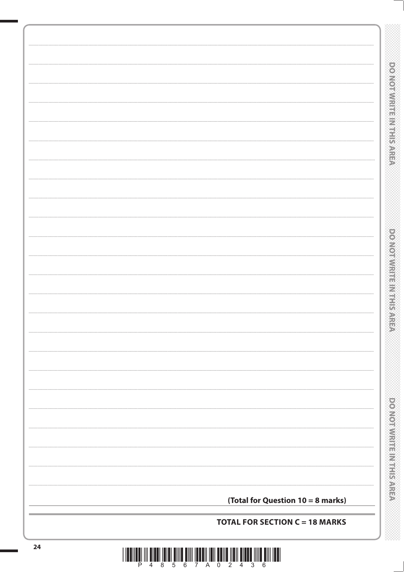|   |   |   |   |  | j     |
|---|---|---|---|--|-------|
|   |   |   |   |  | ֠     |
|   |   |   |   |  |       |
|   |   |   |   |  |       |
|   |   |   |   |  |       |
|   |   |   |   |  |       |
|   |   | j |   |  |       |
|   | Ì |   |   |  | l     |
|   |   |   |   |  |       |
| ¥ |   |   |   |  |       |
|   |   |   |   |  |       |
| î |   |   | ú |  |       |
|   |   |   |   |  | ׇ֠֕֡֡ |
|   |   |   | b |  | š     |
| į |   |   |   |  | ì     |
|   |   |   |   |  |       |
| ı |   |   |   |  | j     |
|   |   |   |   |  | l     |
|   |   |   |   |  |       |
| ì |   |   |   |  |       |
| j |   |   |   |  |       |
|   |   |   |   |  | ֠     |
| ì |   |   |   |  |       |
| ø |   |   |   |  | l     |
|   | ≃ |   |   |  |       |
|   |   |   |   |  | l     |
| ı |   |   |   |  |       |
|   |   |   |   |  | š     |
| j |   |   |   |  | ì     |
|   |   |   |   |  |       |
| û |   |   |   |  | j     |
|   |   |   | í |  | S     |
|   | ä |   | i |  |       |
| ò |   |   |   |  |       |
|   |   |   |   |  |       |
|   |   |   |   |  |       |
|   | ≚ |   |   |  |       |
|   |   |   |   |  |       |
| ¥ |   |   |   |  | l     |
| ì |   |   |   |  | l     |
| j |   |   | í |  |       |
|   |   |   |   |  |       |
|   |   |   | I |  |       |
|   |   |   |   |  |       |
| Í |   |   |   |  |       |
|   |   |   |   |  | í     |
| ä |   |   |   |  |       |
| ï |   |   |   |  |       |
|   |   |   |   |  |       |
| ï |   |   |   |  |       |
|   |   | l |   |  |       |
|   |   |   |   |  |       |
|   |   |   |   |  |       |
| ì |   |   |   |  |       |
|   |   |   |   |  |       |
|   |   |   |   |  | ֚֚֡   |
|   |   |   |   |  |       |
|   |   |   |   |  |       |

# (Total for Question 10 = 8 marks) **TOTAL FOR SECTION C = 18 MARKS**  $24$  $\begin{array}{c} \text{if} \ \text{if} \ \text{if} \ \text{if} \ \text{if} \ \text{if} \ \text{if} \ \text{if} \ \text{if} \ \text{if} \ \text{if} \ \text{if} \ \text{if} \ \text{if} \ \text{if} \ \text{if} \ \text{if} \ \text{if} \ \text{if} \ \text{if} \ \text{if} \ \text{if} \ \text{if} \ \text{if} \ \text{if} \ \text{if} \ \text{if} \ \text{if} \ \text{if} \ \text{if} \ \text{if} \ \text{if} \ \text{if} \ \text{if} \ \text{if} \ \text{$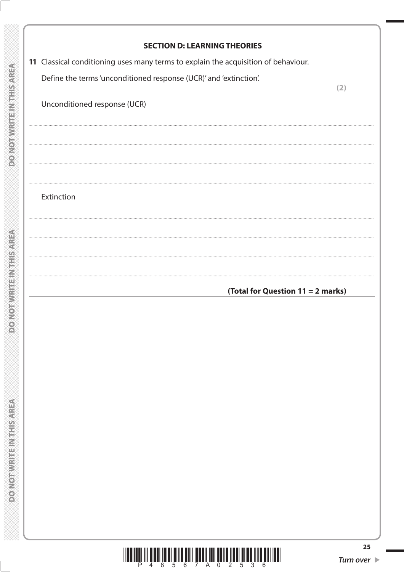| <b>SECTION D: LEARNING THEORIES</b>                                                |     |
|------------------------------------------------------------------------------------|-----|
| 11 Classical conditioning uses many terms to explain the acquisition of behaviour. |     |
| Define the terms 'unconditioned response (UCR)' and 'extinction'.                  |     |
|                                                                                    | (2) |
| Unconditioned response (UCR)                                                       |     |
|                                                                                    |     |
|                                                                                    |     |
|                                                                                    |     |
|                                                                                    |     |
|                                                                                    |     |
| Extinction                                                                         |     |
|                                                                                    |     |
|                                                                                    |     |
|                                                                                    |     |
|                                                                                    |     |
|                                                                                    |     |
|                                                                                    |     |
| (Total for Question 11 = 2 marks)                                                  |     |
|                                                                                    |     |
|                                                                                    |     |
|                                                                                    |     |
|                                                                                    |     |
|                                                                                    |     |
|                                                                                    |     |
|                                                                                    |     |
|                                                                                    |     |
|                                                                                    |     |
|                                                                                    |     |
|                                                                                    |     |



**PONOTWEIGHTMTHIS AREA** 

**DO NOT WRITE IN THIS AREA**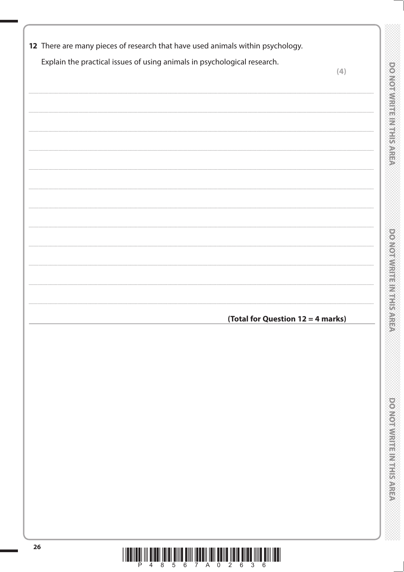| Explain the practical issues of using animals in psychological research. |                                   | (4) |
|--------------------------------------------------------------------------|-----------------------------------|-----|
|                                                                          |                                   |     |
|                                                                          |                                   |     |
|                                                                          |                                   |     |
|                                                                          |                                   |     |
|                                                                          |                                   |     |
|                                                                          |                                   |     |
|                                                                          |                                   |     |
|                                                                          |                                   |     |
|                                                                          |                                   |     |
|                                                                          |                                   |     |
|                                                                          |                                   |     |
|                                                                          |                                   |     |
|                                                                          |                                   |     |
|                                                                          |                                   |     |
|                                                                          | (Total for Question 12 = 4 marks) |     |
|                                                                          |                                   |     |
|                                                                          |                                   |     |
|                                                                          |                                   |     |
|                                                                          |                                   |     |
|                                                                          |                                   |     |
|                                                                          |                                   |     |
|                                                                          |                                   |     |
|                                                                          |                                   |     |
|                                                                          |                                   |     |
|                                                                          |                                   |     |
|                                                                          |                                   |     |
|                                                                          |                                   |     |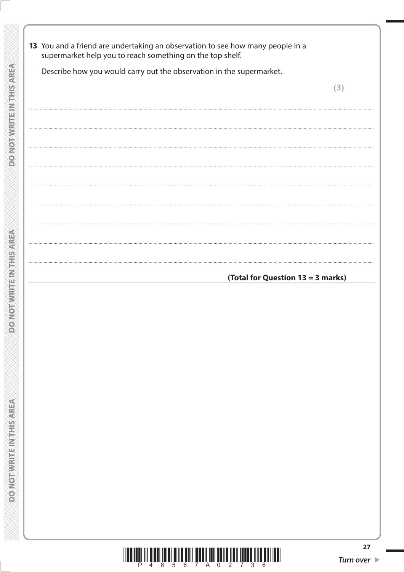|                                                                                                                                                                                                                     |                                   | (3) |  |  |  |
|---------------------------------------------------------------------------------------------------------------------------------------------------------------------------------------------------------------------|-----------------------------------|-----|--|--|--|
| 13 You and a friend are undertaking an observation to see how many people in a<br>supermarket help you to reach something on the top shelf.<br>Describe how you would carry out the observation in the supermarket. |                                   |     |  |  |  |
|                                                                                                                                                                                                                     |                                   |     |  |  |  |
|                                                                                                                                                                                                                     |                                   |     |  |  |  |
|                                                                                                                                                                                                                     |                                   |     |  |  |  |
|                                                                                                                                                                                                                     |                                   |     |  |  |  |
|                                                                                                                                                                                                                     |                                   |     |  |  |  |
|                                                                                                                                                                                                                     |                                   |     |  |  |  |
|                                                                                                                                                                                                                     | (Total for Question 13 = 3 marks) |     |  |  |  |
|                                                                                                                                                                                                                     |                                   |     |  |  |  |
|                                                                                                                                                                                                                     |                                   |     |  |  |  |
|                                                                                                                                                                                                                     |                                   |     |  |  |  |
|                                                                                                                                                                                                                     |                                   |     |  |  |  |
|                                                                                                                                                                                                                     |                                   |     |  |  |  |
|                                                                                                                                                                                                                     |                                   |     |  |  |  |
|                                                                                                                                                                                                                     |                                   |     |  |  |  |
|                                                                                                                                                                                                                     |                                   |     |  |  |  |
|                                                                                                                                                                                                                     |                                   |     |  |  |  |
|                                                                                                                                                                                                                     |                                   |     |  |  |  |
|                                                                                                                                                                                                                     |                                   |     |  |  |  |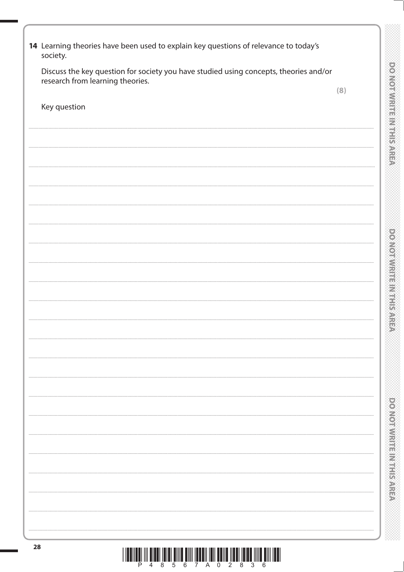|     | 14 Learning theories have been used to explain key questions of relevance to today's  |                                    |
|-----|---------------------------------------------------------------------------------------|------------------------------------|
|     | society.                                                                              |                                    |
|     |                                                                                       |                                    |
|     | Discuss the key question for society you have studied using concepts, theories and/or | $\overline{0}$                     |
|     |                                                                                       |                                    |
|     | research from learning theories.                                                      | <b>Norwich Hall Millingwagen</b>   |
|     |                                                                                       | (8)                                |
|     |                                                                                       |                                    |
|     | Key question                                                                          |                                    |
|     |                                                                                       |                                    |
|     |                                                                                       |                                    |
|     |                                                                                       |                                    |
|     |                                                                                       |                                    |
|     |                                                                                       |                                    |
|     |                                                                                       |                                    |
|     |                                                                                       |                                    |
|     |                                                                                       |                                    |
|     |                                                                                       |                                    |
|     |                                                                                       |                                    |
|     |                                                                                       |                                    |
|     |                                                                                       |                                    |
|     |                                                                                       |                                    |
|     |                                                                                       |                                    |
|     |                                                                                       |                                    |
|     |                                                                                       |                                    |
|     |                                                                                       |                                    |
|     |                                                                                       |                                    |
|     |                                                                                       |                                    |
|     |                                                                                       |                                    |
|     |                                                                                       |                                    |
|     |                                                                                       |                                    |
|     |                                                                                       |                                    |
|     |                                                                                       | <b>PONDERN ENGINEERING</b>         |
|     |                                                                                       |                                    |
|     |                                                                                       |                                    |
|     |                                                                                       |                                    |
|     |                                                                                       |                                    |
|     |                                                                                       |                                    |
|     |                                                                                       |                                    |
|     |                                                                                       |                                    |
|     |                                                                                       |                                    |
|     |                                                                                       |                                    |
|     |                                                                                       |                                    |
|     |                                                                                       |                                    |
|     |                                                                                       |                                    |
|     |                                                                                       | .                                  |
|     |                                                                                       |                                    |
|     |                                                                                       | pository with the matrix of states |
|     |                                                                                       | .                                  |
|     |                                                                                       |                                    |
|     |                                                                                       |                                    |
|     |                                                                                       |                                    |
|     |                                                                                       |                                    |
|     |                                                                                       |                                    |
|     |                                                                                       |                                    |
|     |                                                                                       |                                    |
|     |                                                                                       |                                    |
|     |                                                                                       |                                    |
|     |                                                                                       |                                    |
|     |                                                                                       |                                    |
|     |                                                                                       |                                    |
|     |                                                                                       |                                    |
|     |                                                                                       |                                    |
|     |                                                                                       |                                    |
| n o |                                                                                       |                                    |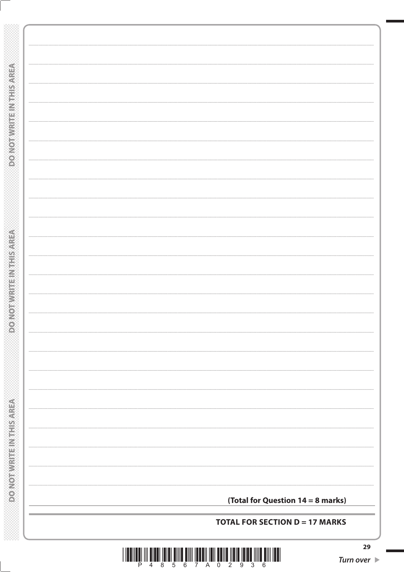| <b>DO NOTHER REINGERS AREA</b> |                                       |
|--------------------------------|---------------------------------------|
|                                |                                       |
|                                |                                       |
|                                |                                       |
|                                |                                       |
|                                |                                       |
|                                |                                       |
|                                |                                       |
|                                |                                       |
|                                |                                       |
|                                |                                       |
|                                |                                       |
|                                |                                       |
|                                |                                       |
|                                |                                       |
|                                |                                       |
|                                |                                       |
|                                |                                       |
|                                |                                       |
|                                |                                       |
|                                |                                       |
|                                |                                       |
|                                |                                       |
|                                |                                       |
|                                |                                       |
|                                |                                       |
|                                |                                       |
|                                |                                       |
|                                |                                       |
|                                |                                       |
|                                |                                       |
|                                |                                       |
|                                |                                       |
|                                |                                       |
|                                |                                       |
|                                |                                       |
|                                |                                       |
|                                |                                       |
|                                |                                       |
|                                |                                       |
|                                |                                       |
|                                |                                       |
|                                |                                       |
| <b>CERTIFICATE AND ALCOHOL</b> |                                       |
|                                |                                       |
|                                |                                       |
|                                |                                       |
|                                |                                       |
|                                |                                       |
|                                |                                       |
|                                |                                       |
|                                |                                       |
|                                |                                       |
|                                |                                       |
|                                |                                       |
|                                |                                       |
|                                |                                       |
|                                |                                       |
|                                |                                       |
|                                |                                       |
|                                |                                       |
|                                |                                       |
|                                |                                       |
|                                |                                       |
|                                |                                       |
|                                |                                       |
|                                |                                       |
|                                |                                       |
|                                |                                       |
|                                |                                       |
|                                |                                       |
|                                |                                       |
|                                |                                       |
|                                |                                       |
|                                |                                       |
|                                |                                       |
|                                |                                       |
|                                |                                       |
|                                |                                       |
|                                |                                       |
|                                |                                       |
|                                |                                       |
|                                |                                       |
|                                |                                       |
|                                |                                       |
|                                |                                       |
|                                |                                       |
|                                |                                       |
|                                |                                       |
|                                |                                       |
|                                |                                       |
|                                |                                       |
| <b>POINCREASEMENT REPORTS</b>  |                                       |
|                                | (Total for Question 14 = 8 marks)     |
|                                |                                       |
|                                |                                       |
|                                |                                       |
|                                | <b>TOTAL FOR SECTION D = 17 MARKS</b> |
|                                |                                       |
|                                |                                       |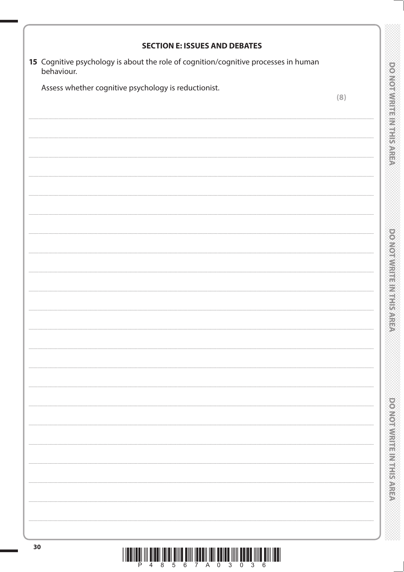| <b>SECTION E: ISSUES AND DEBATES</b>                                                              |     |  |  |  |  |
|---------------------------------------------------------------------------------------------------|-----|--|--|--|--|
| 15 Cognitive psychology is about the role of cognition/cognitive processes in human<br>behaviour. |     |  |  |  |  |
| Assess whether cognitive psychology is reductionist.                                              |     |  |  |  |  |
|                                                                                                   | (8) |  |  |  |  |
|                                                                                                   |     |  |  |  |  |
|                                                                                                   |     |  |  |  |  |
|                                                                                                   |     |  |  |  |  |
|                                                                                                   |     |  |  |  |  |
|                                                                                                   |     |  |  |  |  |
|                                                                                                   |     |  |  |  |  |
|                                                                                                   |     |  |  |  |  |
|                                                                                                   |     |  |  |  |  |
|                                                                                                   |     |  |  |  |  |
|                                                                                                   |     |  |  |  |  |
|                                                                                                   |     |  |  |  |  |
|                                                                                                   |     |  |  |  |  |
|                                                                                                   |     |  |  |  |  |
|                                                                                                   |     |  |  |  |  |
|                                                                                                   |     |  |  |  |  |
|                                                                                                   |     |  |  |  |  |
|                                                                                                   |     |  |  |  |  |
|                                                                                                   |     |  |  |  |  |
|                                                                                                   |     |  |  |  |  |
|                                                                                                   |     |  |  |  |  |
|                                                                                                   |     |  |  |  |  |
| 30                                                                                                |     |  |  |  |  |

DO NOT WRITE IN THE AREA

DOMOTWRITE INTHIS AREA

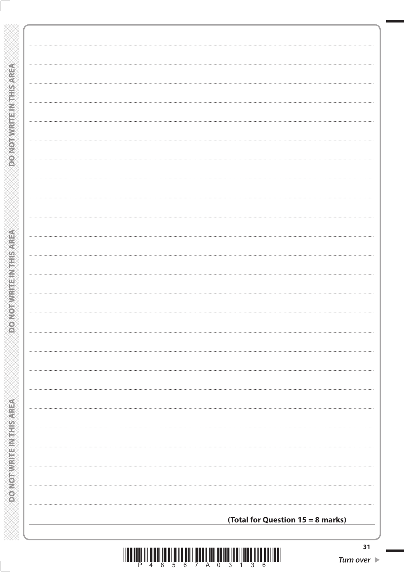| <b>DO NOTHER REPORTED AND</b> |                                   |
|-------------------------------|-----------------------------------|
|                               |                                   |
|                               |                                   |
|                               |                                   |
|                               |                                   |
|                               |                                   |
|                               |                                   |
|                               |                                   |
|                               |                                   |
|                               |                                   |
|                               |                                   |
|                               |                                   |
|                               |                                   |
|                               |                                   |
|                               |                                   |
| <b>MOTRWARE BINEED STATE</b>  |                                   |
|                               |                                   |
|                               |                                   |
|                               |                                   |
|                               |                                   |
|                               |                                   |
|                               |                                   |
|                               |                                   |
|                               |                                   |
|                               |                                   |
|                               |                                   |
|                               |                                   |
|                               |                                   |
|                               |                                   |
|                               |                                   |
|                               |                                   |
|                               |                                   |
|                               |                                   |
| ő                             |                                   |
| œ                             |                                   |
|                               |                                   |
|                               |                                   |
|                               |                                   |
|                               |                                   |
|                               |                                   |
|                               |                                   |
|                               |                                   |
|                               |                                   |
|                               |                                   |
|                               |                                   |
|                               |                                   |
|                               |                                   |
|                               |                                   |
|                               |                                   |
|                               |                                   |
|                               |                                   |
|                               |                                   |
|                               |                                   |
|                               |                                   |
|                               |                                   |
|                               |                                   |
|                               |                                   |
|                               |                                   |
|                               |                                   |
|                               |                                   |
|                               |                                   |
|                               |                                   |
|                               |                                   |
|                               |                                   |
|                               |                                   |
|                               |                                   |
|                               |                                   |
|                               |                                   |
|                               |                                   |
| <b>PONOTWATEINTHISAREA</b>    |                                   |
|                               |                                   |
|                               |                                   |
|                               |                                   |
|                               |                                   |
|                               | (Total for Question 15 = 8 marks) |
|                               |                                   |
|                               |                                   |

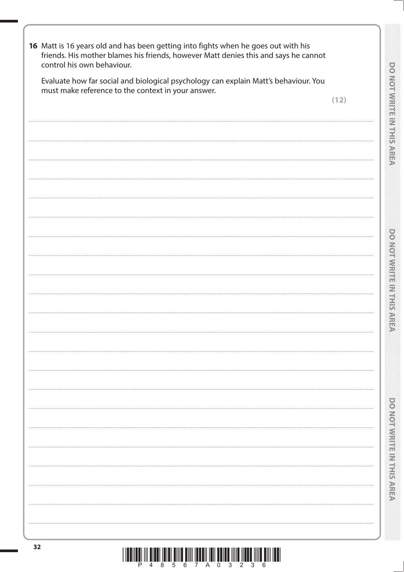| 16 Matt is 16 years old and has been getting into fights when he goes out with his<br>friends. His mother blames his friends, however Matt denies this and says he cannot<br>control his own behaviour. | $\circ$<br>$\bullet$              |
|---------------------------------------------------------------------------------------------------------------------------------------------------------------------------------------------------------|-----------------------------------|
| Evaluate how far social and biological psychology can explain Matt's behaviour. You<br>must make reference to the context in your answer.                                                               | <b>NORMALISM STREET</b><br>(12)   |
|                                                                                                                                                                                                         |                                   |
|                                                                                                                                                                                                         |                                   |
|                                                                                                                                                                                                         |                                   |
|                                                                                                                                                                                                         |                                   |
|                                                                                                                                                                                                         |                                   |
|                                                                                                                                                                                                         |                                   |
|                                                                                                                                                                                                         | <b>PONDANT ENTERTAINMENT</b>      |
|                                                                                                                                                                                                         |                                   |
|                                                                                                                                                                                                         |                                   |
|                                                                                                                                                                                                         | 20<br>D                           |
|                                                                                                                                                                                                         |                                   |
|                                                                                                                                                                                                         |                                   |
|                                                                                                                                                                                                         |                                   |
|                                                                                                                                                                                                         |                                   |
|                                                                                                                                                                                                         |                                   |
|                                                                                                                                                                                                         |                                   |
|                                                                                                                                                                                                         | <b>PORTO INTERNATIONAL STREET</b> |
|                                                                                                                                                                                                         |                                   |
|                                                                                                                                                                                                         |                                   |
|                                                                                                                                                                                                         |                                   |
| 32<br>III<br>3<br>P<br>2<br>3<br>5                                                                                                                                                                      |                                   |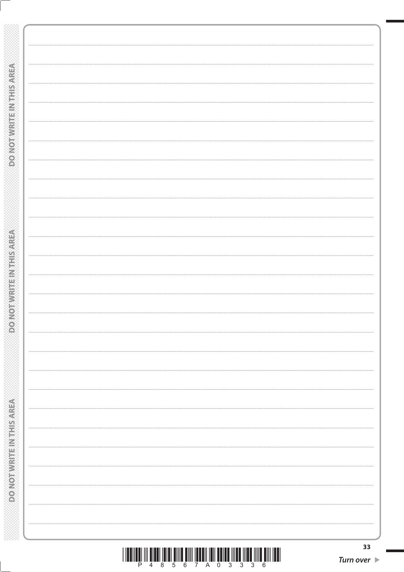| <b>DONOTHING TELESPIES</b>      |                                                                                                                     |
|---------------------------------|---------------------------------------------------------------------------------------------------------------------|
|                                 |                                                                                                                     |
|                                 |                                                                                                                     |
|                                 |                                                                                                                     |
|                                 |                                                                                                                     |
|                                 |                                                                                                                     |
|                                 |                                                                                                                     |
|                                 |                                                                                                                     |
|                                 |                                                                                                                     |
|                                 |                                                                                                                     |
|                                 |                                                                                                                     |
|                                 |                                                                                                                     |
|                                 |                                                                                                                     |
|                                 |                                                                                                                     |
|                                 |                                                                                                                     |
|                                 |                                                                                                                     |
|                                 |                                                                                                                     |
|                                 |                                                                                                                     |
|                                 |                                                                                                                     |
|                                 |                                                                                                                     |
|                                 |                                                                                                                     |
|                                 |                                                                                                                     |
|                                 |                                                                                                                     |
|                                 |                                                                                                                     |
|                                 |                                                                                                                     |
|                                 |                                                                                                                     |
|                                 |                                                                                                                     |
|                                 |                                                                                                                     |
|                                 |                                                                                                                     |
|                                 |                                                                                                                     |
|                                 |                                                                                                                     |
| <b>ONOTHWARE INSTALS AREA</b>   |                                                                                                                     |
|                                 |                                                                                                                     |
|                                 |                                                                                                                     |
|                                 |                                                                                                                     |
|                                 |                                                                                                                     |
|                                 |                                                                                                                     |
|                                 |                                                                                                                     |
|                                 |                                                                                                                     |
|                                 |                                                                                                                     |
|                                 |                                                                                                                     |
|                                 |                                                                                                                     |
|                                 |                                                                                                                     |
|                                 |                                                                                                                     |
|                                 |                                                                                                                     |
|                                 |                                                                                                                     |
|                                 |                                                                                                                     |
|                                 |                                                                                                                     |
|                                 |                                                                                                                     |
|                                 |                                                                                                                     |
|                                 |                                                                                                                     |
|                                 |                                                                                                                     |
|                                 |                                                                                                                     |
|                                 |                                                                                                                     |
|                                 |                                                                                                                     |
|                                 |                                                                                                                     |
|                                 |                                                                                                                     |
|                                 |                                                                                                                     |
|                                 |                                                                                                                     |
|                                 |                                                                                                                     |
|                                 |                                                                                                                     |
|                                 |                                                                                                                     |
|                                 |                                                                                                                     |
|                                 |                                                                                                                     |
|                                 |                                                                                                                     |
|                                 |                                                                                                                     |
|                                 |                                                                                                                     |
|                                 |                                                                                                                     |
|                                 |                                                                                                                     |
|                                 |                                                                                                                     |
|                                 |                                                                                                                     |
|                                 |                                                                                                                     |
|                                 |                                                                                                                     |
|                                 |                                                                                                                     |
|                                 |                                                                                                                     |
|                                 |                                                                                                                     |
|                                 |                                                                                                                     |
|                                 |                                                                                                                     |
|                                 |                                                                                                                     |
|                                 |                                                                                                                     |
|                                 |                                                                                                                     |
| <b>DO NOT WRITEIN THIS AREA</b> |                                                                                                                     |
|                                 |                                                                                                                     |
|                                 |                                                                                                                     |
|                                 |                                                                                                                     |
|                                 |                                                                                                                     |
|                                 |                                                                                                                     |
|                                 |                                                                                                                     |
|                                 |                                                                                                                     |
|                                 | 33<br><u>I INDICATE LI INTERNATIONAL DELLA MILITARIA CON PROVINCI ILI DI ILI INDICIALI ILI INDICIALI ILI INDICI</u> |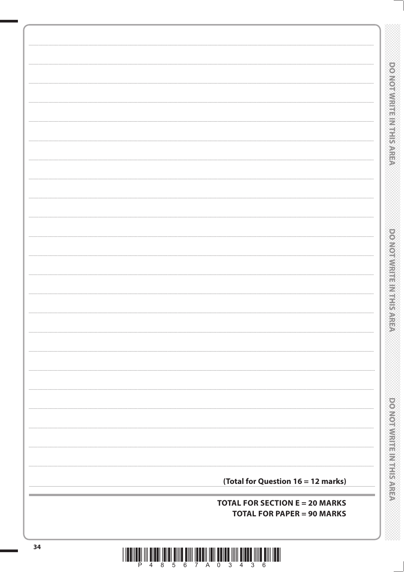| Ì<br>I        |   |   |               |   |  |
|---------------|---|---|---------------|---|--|
|               |   |   | l             |   |  |
|               |   |   |               |   |  |
|               |   |   |               |   |  |
| Ī             |   |   |               |   |  |
|               |   |   |               |   |  |
|               |   |   |               |   |  |
| j             |   |   |               | ţ |  |
|               |   |   |               |   |  |
|               |   |   |               |   |  |
|               |   |   | J             |   |  |
|               |   |   |               |   |  |
|               |   |   |               |   |  |
|               | ń |   |               |   |  |
|               |   |   |               |   |  |
|               |   |   |               |   |  |
|               |   |   |               |   |  |
|               |   |   |               |   |  |
|               |   |   |               |   |  |
|               |   |   |               |   |  |
|               |   |   |               |   |  |
|               |   |   |               |   |  |
|               |   | È |               |   |  |
| ë             |   |   |               |   |  |
|               |   |   | ę             |   |  |
|               |   |   |               |   |  |
|               |   |   |               |   |  |
|               |   |   |               |   |  |
|               |   |   | ₩             |   |  |
|               |   |   |               |   |  |
|               |   |   |               |   |  |
|               |   |   | b.            |   |  |
|               |   |   |               |   |  |
|               |   |   |               |   |  |
|               |   |   |               |   |  |
|               |   |   | Ž             |   |  |
|               |   |   |               |   |  |
|               |   |   |               |   |  |
|               |   |   |               |   |  |
|               |   |   |               |   |  |
|               |   |   |               |   |  |
|               |   |   |               |   |  |
|               |   |   |               |   |  |
|               |   |   |               |   |  |
| ë             |   |   |               |   |  |
|               |   |   |               |   |  |
|               |   |   |               |   |  |
|               |   |   |               |   |  |
|               |   |   |               |   |  |
|               |   |   |               |   |  |
|               |   |   |               |   |  |
|               |   |   | $\frac{1}{2}$ |   |  |
| ļ             |   |   |               |   |  |
|               |   |   |               |   |  |
|               |   |   |               |   |  |
|               |   |   |               |   |  |
| ì             |   |   |               |   |  |
|               |   |   |               |   |  |
|               |   |   |               |   |  |
|               |   |   |               |   |  |
|               |   |   |               |   |  |
| Į             |   |   |               |   |  |
|               |   |   |               |   |  |
|               |   |   |               |   |  |
|               |   |   |               |   |  |
|               |   |   |               |   |  |
| $\frac{1}{2}$ |   |   |               |   |  |
|               |   |   |               |   |  |
|               |   |   |               |   |  |
|               |   |   |               |   |  |
| ì             |   |   |               |   |  |
|               |   |   |               |   |  |
|               |   |   |               |   |  |
|               |   |   |               |   |  |
|               |   |   |               |   |  |
|               |   |   |               |   |  |
|               |   |   |               |   |  |

(Total for Question 16 = 12 marks) **TOTAL FOR SECTION E = 20 MARKS** 

**TOTAL FOR PAPER = 90 MARKS** 

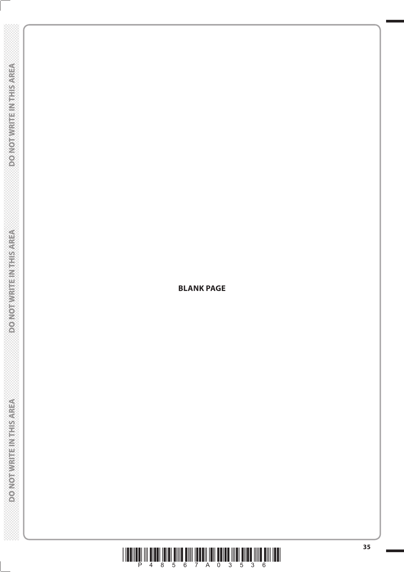**BLANK PAGE**